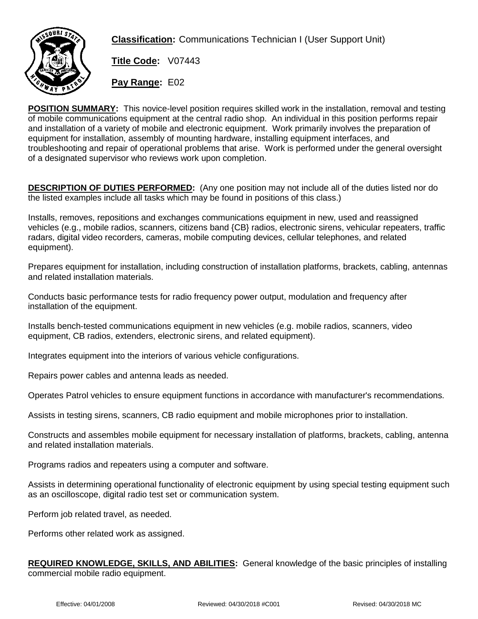

**Classification:** Communications Technician I (User Support Unit)

**Title Code:** V07443

**Pay Range:** E02

**POSITION SUMMARY:** This novice-level position requires skilled work in the installation, removal and testing of mobile communications equipment at the central radio shop. An individual in this position performs repair and installation of a variety of mobile and electronic equipment. Work primarily involves the preparation of equipment for installation, assembly of mounting hardware, installing equipment interfaces, and troubleshooting and repair of operational problems that arise. Work is performed under the general oversight of a designated supervisor who reviews work upon completion.

**DESCRIPTION OF DUTIES PERFORMED:** (Any one position may not include all of the duties listed nor do the listed examples include all tasks which may be found in positions of this class.)

Installs, removes, repositions and exchanges communications equipment in new, used and reassigned vehicles (e.g., mobile radios, scanners, citizens band {CB} radios, electronic sirens, vehicular repeaters, traffic radars, digital video recorders, cameras, mobile computing devices, cellular telephones, and related equipment).

Prepares equipment for installation, including construction of installation platforms, brackets, cabling, antennas and related installation materials.

Conducts basic performance tests for radio frequency power output, modulation and frequency after installation of the equipment.

Installs bench-tested communications equipment in new vehicles (e.g. mobile radios, scanners, video equipment, CB radios, extenders, electronic sirens, and related equipment).

Integrates equipment into the interiors of various vehicle configurations.

Repairs power cables and antenna leads as needed.

Operates Patrol vehicles to ensure equipment functions in accordance with manufacturer's recommendations.

Assists in testing sirens, scanners, CB radio equipment and mobile microphones prior to installation.

Constructs and assembles mobile equipment for necessary installation of platforms, brackets, cabling, antenna and related installation materials.

Programs radios and repeaters using a computer and software.

Assists in determining operational functionality of electronic equipment by using special testing equipment such as an oscilloscope, digital radio test set or communication system.

Perform job related travel, as needed.

Performs other related work as assigned.

**REQUIRED KNOWLEDGE, SKILLS, AND ABILITIES:** General knowledge of the basic principles of installing commercial mobile radio equipment.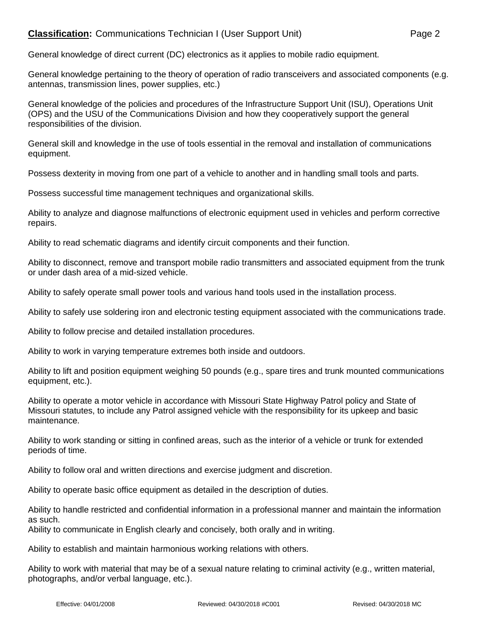## **Classification:** Communications Technician I (User Support Unit) Page 2

General knowledge of direct current (DC) electronics as it applies to mobile radio equipment.

General knowledge pertaining to the theory of operation of radio transceivers and associated components (e.g. antennas, transmission lines, power supplies, etc.)

General knowledge of the policies and procedures of the Infrastructure Support Unit (ISU), Operations Unit (OPS) and the USU of the Communications Division and how they cooperatively support the general responsibilities of the division.

General skill and knowledge in the use of tools essential in the removal and installation of communications equipment.

Possess dexterity in moving from one part of a vehicle to another and in handling small tools and parts.

Possess successful time management techniques and organizational skills.

Ability to analyze and diagnose malfunctions of electronic equipment used in vehicles and perform corrective repairs.

Ability to read schematic diagrams and identify circuit components and their function.

Ability to disconnect, remove and transport mobile radio transmitters and associated equipment from the trunk or under dash area of a mid-sized vehicle.

Ability to safely operate small power tools and various hand tools used in the installation process.

Ability to safely use soldering iron and electronic testing equipment associated with the communications trade.

Ability to follow precise and detailed installation procedures.

Ability to work in varying temperature extremes both inside and outdoors.

Ability to lift and position equipment weighing 50 pounds (e.g., spare tires and trunk mounted communications equipment, etc.).

Ability to operate a motor vehicle in accordance with Missouri State Highway Patrol policy and State of Missouri statutes, to include any Patrol assigned vehicle with the responsibility for its upkeep and basic maintenance.

Ability to work standing or sitting in confined areas, such as the interior of a vehicle or trunk for extended periods of time.

Ability to follow oral and written directions and exercise judgment and discretion.

Ability to operate basic office equipment as detailed in the description of duties.

Ability to handle restricted and confidential information in a professional manner and maintain the information as such.

Ability to communicate in English clearly and concisely, both orally and in writing.

Ability to establish and maintain harmonious working relations with others.

Ability to work with material that may be of a sexual nature relating to criminal activity (e.g., written material, photographs, and/or verbal language, etc.).